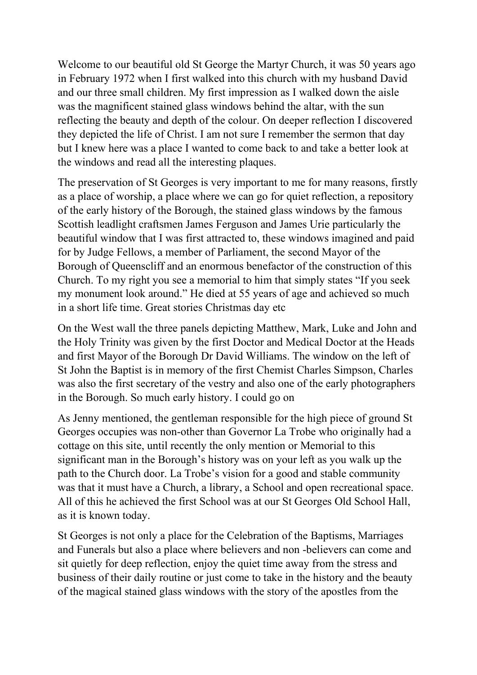Welcome to our beautiful old St George the Martyr Church, it was 50 years ago in February 1972 when I first walked into this church with my husband David and our three small children. My first impression as I walked down the aisle was the magnificent stained glass windows behind the altar, with the sun reflecting the beauty and depth of the colour. On deeper reflection I discovered they depicted the life of Christ. I am not sure I remember the sermon that day but I knew here was a place I wanted to come back to and take a better look at the windows and read all the interesting plaques.

The preservation of St Georges is very important to me for many reasons, firstly as a place of worship, a place where we can go for quiet reflection, a repository of the early history of the Borough, the stained glass windows by the famous Scottish leadlight craftsmen James Ferguson and James Urie particularly the beautiful window that I was first attracted to, these windows imagined and paid for by Judge Fellows, a member of Parliament, the second Mayor of the Borough of Queenscliff and an enormous benefactor of the construction of this Church. To my right you see a memorial to him that simply states "If you seek my monument look around." He died at 55 years of age and achieved so much in a short life time. Great stories Christmas day etc

On the West wall the three panels depicting Matthew, Mark, Luke and John and the Holy Trinity was given by the first Doctor and Medical Doctor at the Heads and first Mayor of the Borough Dr David Williams. The window on the left of St John the Baptist is in memory of the first Chemist Charles Simpson, Charles was also the first secretary of the vestry and also one of the early photographers in the Borough. So much early history. I could go on

As Jenny mentioned, the gentleman responsible for the high piece of ground St Georges occupies was non-other than Governor La Trobe who originally had a cottage on this site, until recently the only mention or Memorial to this significant man in the Borough's history was on your left as you walk up the path to the Church door. La Trobe's vision for a good and stable community was that it must have a Church, a library, a School and open recreational space. All of this he achieved the first School was at our St Georges Old School Hall, as it is known today.

St Georges is not only a place for the Celebration of the Baptisms, Marriages and Funerals but also a place where believers and non -believers can come and sit quietly for deep reflection, enjoy the quiet time away from the stress and business of their daily routine or just come to take in the history and the beauty of the magical stained glass windows with the story of the apostles from the